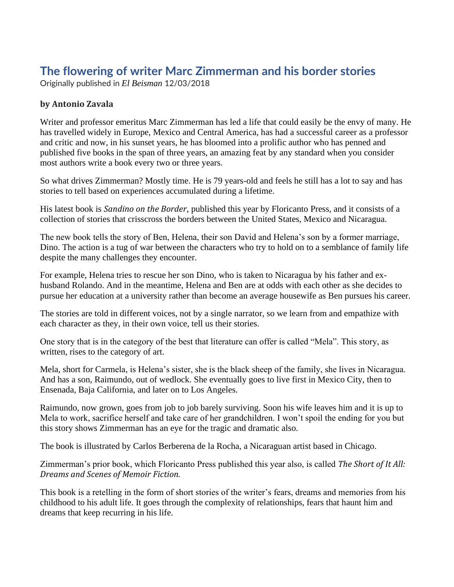# **The flowering of writer Marc Zimmerman and his border stories**

Originally published in *El Beisman* 12/03/2018

### **by Antonio Zavala**

Writer and professor emeritus Marc Zimmerman has led a life that could easily be the envy of many. He has travelled widely in Europe, Mexico and Central America, has had a successful career as a professor and critic and now, in his sunset years, he has bloomed into a prolific author who has penned and published five books in the span of three years, an amazing feat by any standard when you consider most authors write a book every two or three years.

So what drives Zimmerman? Mostly time. He is 79 years-old and feels he still has a lot to say and has stories to tell based on experiences accumulated during a lifetime.

His latest book is *Sandino on the Border*, published this year by Floricanto Press, and it consists of a collection of stories that crisscross the borders between the United States, Mexico and Nicaragua.

The new book tells the story of Ben, Helena, their son David and Helena's son by a former marriage, Dino. The action is a tug of war between the characters who try to hold on to a semblance of family life despite the many challenges they encounter.

For example, Helena tries to rescue her son Dino, who is taken to Nicaragua by his father and exhusband Rolando. And in the meantime, Helena and Ben are at odds with each other as she decides to pursue her education at a university rather than become an average housewife as Ben pursues his career.

The stories are told in different voices, not by a single narrator, so we learn from and empathize with each character as they, in their own voice, tell us their stories.

One story that is in the category of the best that literature can offer is called "Mela". This story, as written, rises to the category of art.

Mela, short for Carmela, is Helena's sister, she is the black sheep of the family, she lives in Nicaragua. And has a son, Raimundo, out of wedlock. She eventually goes to live first in Mexico City, then to Ensenada, Baja California, and later on to Los Angeles.

Raimundo, now grown, goes from job to job barely surviving. Soon his wife leaves him and it is up to Mela to work, sacrifice herself and take care of her grandchildren. I won't spoil the ending for you but this story shows Zimmerman has an eye for the tragic and dramatic also.

The book is illustrated by Carlos Berberena de la Rocha, a Nicaraguan artist based in Chicago.

Zimmerman's prior book, which Floricanto Press published this year also, is called *The Short of It All: Dreams and Scenes of Memoir Fiction.*

This book is a retelling in the form of short stories of the writer's fears, dreams and memories from his childhood to his adult life. It goes through the complexity of relationships, fears that haunt him and dreams that keep recurring in his life.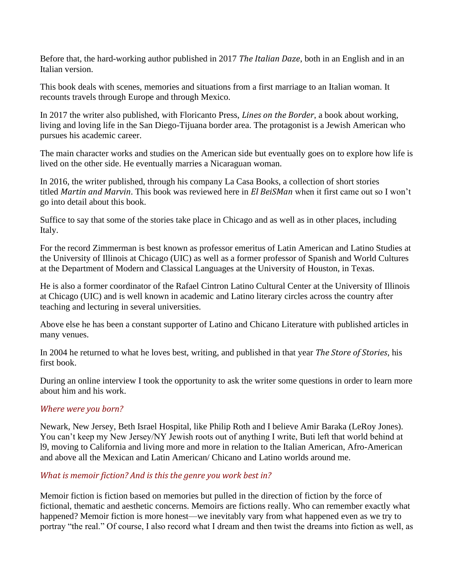Before that, the hard-working author published in 2017 *The Italian Daze*, both in an English and in an Italian version.

This book deals with scenes, memories and situations from a first marriage to an Italian woman. It recounts travels through Europe and through Mexico.

In 2017 the writer also published, with Floricanto Press, *Lines on the Border*, a book about working, living and loving life in the San Diego-Tijuana border area. The protagonist is a Jewish American who pursues his academic career.

The main character works and studies on the American side but eventually goes on to explore how life is lived on the other side. He eventually marries a Nicaraguan woman.

In 2016, the writer published, through his company La Casa Books, a collection of short stories titled *Martin and Marvin*. This book was reviewed here in *El BeiSMan* when it first came out so I won't go into detail about this book.

Suffice to say that some of the stories take place in Chicago and as well as in other places, including Italy.

For the record Zimmerman is best known as professor emeritus of Latin American and Latino Studies at the University of Illinois at Chicago (UIC) as well as a former professor of Spanish and World Cultures at the Department of Modern and Classical Languages at the University of Houston, in Texas.

He is also a former coordinator of the Rafael Cintron Latino Cultural Center at the University of Illinois at Chicago (UIC) and is well known in academic and Latino literary circles across the country after teaching and lecturing in several universities.

Above else he has been a constant supporter of Latino and Chicano Literature with published articles in many venues.

In 2004 he returned to what he loves best, writing, and published in that year *The Store of Stories*, his first book.

During an online interview I took the opportunity to ask the writer some questions in order to learn more about him and his work.

#### *Where were you born?*

Newark, New Jersey, Beth Israel Hospital, like Philip Roth and I believe Amir Baraka (LeRoy Jones). You can't keep my New Jersey/NY Jewish roots out of anything I write, Buti left that world behind at l9, moving to California and living more and more in relation to the Italian American, Afro-American and above all the Mexican and Latin American/ Chicano and Latino worlds around me.

#### *What is memoir fiction? And is this the genre you work best in?*

Memoir fiction is fiction based on memories but pulled in the direction of fiction by the force of fictional, thematic and aesthetic concerns. Memoirs are fictions really. Who can remember exactly what happened? Memoir fiction is more honest—we inevitably vary from what happened even as we try to portray "the real." Of course, I also record what I dream and then twist the dreams into fiction as well, as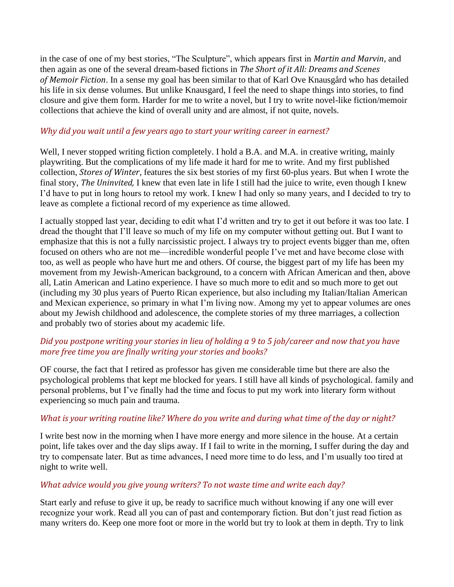in the case of one of my best stories, "The Sculpture", which appears first in *Martin and Marvin*, and then again as one of the several dream-based fictions in *The Short of it All: Dreams and Scenes of Memoir Fiction*. In a sense my goal has been similar to that of Karl Ove Knausgård who has detailed his life in six dense volumes. But unlike Knausgard, I feel the need to shape things into stories, to find closure and give them form. Harder for me to write a novel, but I try to write novel-like fiction/memoir collections that achieve the kind of overall unity and are almost, if not quite, novels.

#### *Why did you wait until a few years ago to start your writing career in earnest?*

Well, I never stopped writing fiction completely. I hold a B.A. and M.A. in creative writing, mainly playwriting. But the complications of my life made it hard for me to write. And my first published collection, *Stores of Winter*, features the six best stories of my first 60-plus years. But when I wrote the final story, *The Uninvited,* I knew that even late in life I still had the juice to write, even though I knew I'd have to put in long hours to retool my work. I knew I had only so many years, and I decided to try to leave as complete a fictional record of my experience as time allowed.

I actually stopped last year, deciding to edit what I'd written and try to get it out before it was too late. I dread the thought that I'll leave so much of my life on my computer without getting out. But I want to emphasize that this is not a fully narcissistic project. I always try to project events bigger than me, often focused on others who are not me—incredible wonderful people I've met and have become close with too, as well as people who have hurt me and others. Of course, the biggest part of my life has been my movement from my Jewish-American background, to a concern with African American and then, above all, Latin American and Latino experience. I have so much more to edit and so much more to get out (including my 30 plus years of Puerto Rican experience, but also including my Italian/Italian American and Mexican experience, so primary in what I'm living now. Among my yet to appear volumes are ones about my Jewish childhood and adolescence, the complete stories of my three marriages, a collection and probably two of stories about my academic life.

## Did you postpone writing your stories in lieu of holding a 9 to 5 job/career and now that you have *more free time you are finally writing your stories and books?*

OF course, the fact that I retired as professor has given me considerable time but there are also the psychological problems that kept me blocked for years. I still have all kinds of psychological. family and personal problems, but I've finally had the time and focus to put my work into literary form without experiencing so much pain and trauma.

#### What is your writing routine like? Where do you write and during what time of the day or night?

I write best now in the morning when I have more energy and more silence in the house. At a certain point, life takes over and the day slips away. If I fail to write in the morning, I suffer during the day and try to compensate later. But as time advances, I need more time to do less, and I'm usually too tired at night to write well.

#### *What advice would you give young writers? To not waste time and write each day?*

Start early and refuse to give it up, be ready to sacrifice much without knowing if any one will ever recognize your work. Read all you can of past and contemporary fiction. But don't just read fiction as many writers do. Keep one more foot or more in the world but try to look at them in depth. Try to link